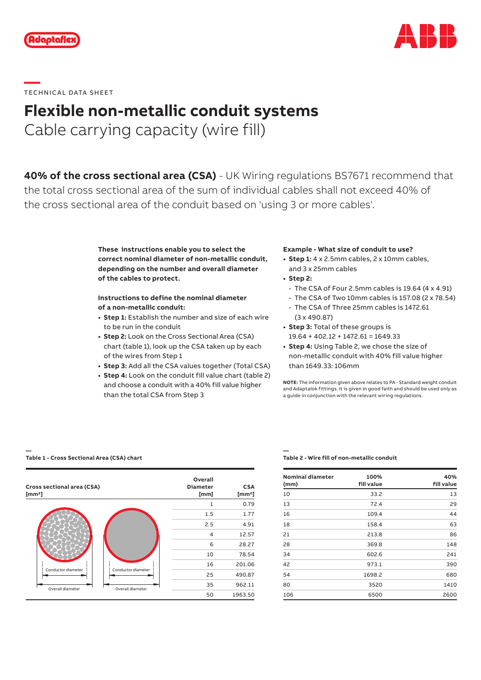



# **—**  TECHNICAL DATA SHEET

### **Flexible non-metallic conduit systems**

Cable carrying capacity (wire fill)

**40% of the cross sectional area (CSA)** - UK Wiring regulations BS7671 recommend that the total cross sectional area of the sum of individual cables shall not exceed 40% of the cross sectional area of the conduit based on 'using 3 or more cables'.

> **These instructions enable you to select the correct nominal diameter of non-metallic conduit, depending on the number and overall diameter of the cables to protect.**

### **Instructions to define the nominal diameter of a non-metallic conduit:**

- **• Step 1:** Establish the number and size of each wire to be run in the conduit
- **• Step 2:** Look on the Cross Sectional Area (CSA) chart (table 1), look up the CSA taken up by each of the wires from Step 1
- **• Step 3:** Add all the CSA values together (Total CSA)
- **• Step 4:** Look on the conduit fill value chart (table 2) and choose a conduit with a 40% fill value higher than the total CSA from Step 3

### **Example - What size of conduit to use?**

- **• Step 1:** 4 x 2.5mm cables, 2 x 10mm cables, and 3 x 25mm cables
- **• Step 2:**
	- The CSA of Four 2.5mm cables is 19.64 (4 x 4.91)
	- The CSA of Two 10mm cables is 157.08 (2 x 78.54)
- The CSA of Three 25mm cables is 1472.61 (3 x 490.87)
- **• Step 3:** Total of these groups is 19.64 + 402.12 + 1472.61 = 1649.33
- **• Step 4:** Using Table 2, we chose the size of non-metallic conduit with 40% fill value higher than 1649.33: 106mm

**NOTE:** The information given above relates to PA - Standard weight conduit and Adaptalok fittings. It is given in good faith and should be used only as a guide in conjunction with the relevant wiring regulations.

#### **— Table 1 - Cross Sectional Area (CSA) chart**



#### **— Table 2 - Wire fill of non-metallic conduit**

| <b>Nominal diameter</b><br>(mm) | 100%<br>fill value | 40%<br>fill value |
|---------------------------------|--------------------|-------------------|
| 10                              | 33.2               | 13                |
| 13                              | 72.4               | 29                |
| 16                              | 109.4              | 44                |
| 18                              | 158.4              | 63                |
| 21                              | 213.8              | 86                |
| 28                              | 369.8              | 148               |
| 34                              | 602.6              | 241               |
| 42                              | 973.1              | 390               |
| 54                              | 1698.2             | 680               |
| 80                              | 3520               | 1410              |
| 106                             | 6500               | 2600              |